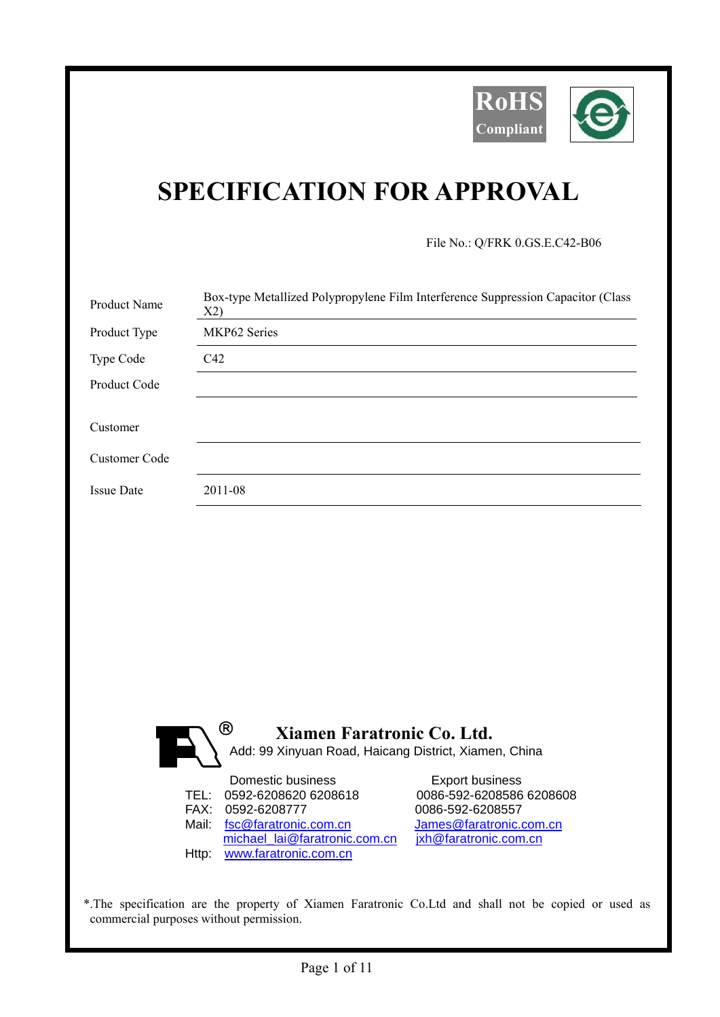

## **SPECIFICATION FOR APPROVAL**

File No.: Q/FRK 0.GS.E.C42-B06

| Product Name      | Box-type Metallized Polypropylene Film Interference Suppression Capacitor (Class<br>X2)               |
|-------------------|-------------------------------------------------------------------------------------------------------|
| Product Type      | MKP62 Series                                                                                          |
| Type Code         | C42                                                                                                   |
| Product Code      |                                                                                                       |
| Customer          |                                                                                                       |
| Customer Code     |                                                                                                       |
| <b>Issue Date</b> | 2011-08                                                                                               |
|                   |                                                                                                       |
|                   |                                                                                                       |
|                   |                                                                                                       |
|                   |                                                                                                       |
|                   |                                                                                                       |
|                   |                                                                                                       |
|                   |                                                                                                       |
|                   | $^{\circledR}$<br>Xiamen Faratronic Co. Ltd.<br>Add: 99 Xinyuan Road, Haicang District, Xiamen, China |

| Domestic business             | <b>Export business</b>   |
|-------------------------------|--------------------------|
| TEL: 0592-6208620 6208618     | 0086-592-6208586 6208608 |
| FAX: 0592-6208777             | 0086-592-6208557         |
| Mail: fsc@faratronic.com.cn   | James@faratronic.com.cn  |
| michael lai@faratronic.com.cn | jxh@faratronic.com.cn    |
| Http: www.faratronic.com.cn   |                          |

\*.The specification are the property of Xiamen Faratronic Co.Ltd and shall not be copied or used as commercial purposes without permission.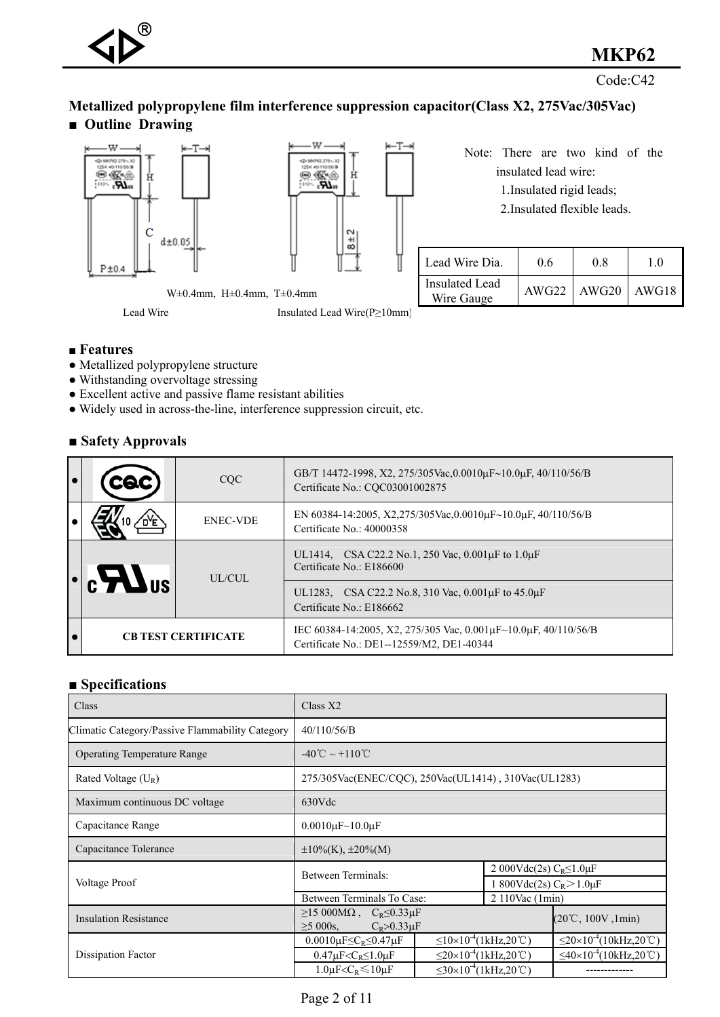Code:C42

#### **Metallized polypropylene film interference suppression capacitor(Class X2, 275Vac/305Vac)**  ■ **Outline Drawing**





Note: There are two kind of the insulated lead wire:

1.Insulated rigid leads;

2.Insulated flexible leads.

| Lead Wire Dia.               | 06    | 08    | 10    |
|------------------------------|-------|-------|-------|
| Insulated Lead<br>Wire Gauge | AWG22 | AWG20 | AWG18 |

W±0.4mm, H±0.4mm, T±0.4mm

Lead Wire Insulated Lead Wire(P≥10mm)

#### **■ Features**

- Metallized polypropylene structure
- Withstanding overvoltage stressing
- Excellent active and passive flame resistant abilities
- Widely used in across-the-line, interference suppression circuit, etc.

#### **■ Safety Approvals**

|                                                                                              | COC             | GB/T 14472-1998, X2, 275/305Vac, 0.0010 $\mu$ F~10.0 $\mu$ F, 40/110/56/B<br>Certificate No.: CQC03001002875                    |
|----------------------------------------------------------------------------------------------|-----------------|---------------------------------------------------------------------------------------------------------------------------------|
|                                                                                              | <b>ENEC-VDE</b> | EN 60384-14:2005, X2,275/305Vac,0.0010μF~10.0μF, 40/110/56/B<br>Certificate $No: 40000358$                                      |
| $\lvert \cdot \rvert$ c $\blacktriangleright$ $\blacktriangleright$ $\blacktriangleright$ us | UL/CUL          | UL1414, CSA C22.2 No.1, 250 Vac, $0.001\mu$ F to $1.0\mu$ F<br>Certificate No.: E186600                                         |
|                                                                                              |                 | UL1283, CSA C22.2 No.8, 310 Vac, 0.001 µF to 45.0 µF<br>Certificate No.: E186662                                                |
| <b>CB TEST CERTIFICATE</b>                                                                   |                 | IEC 60384-14:2005, X2, 275/305 Vac, 0.001 $\mu$ F $\sim$ 10.0 $\mu$ F, 40/110/56/B<br>Certificate No.: DE1--12559/M2, DE1-40344 |

#### **■ Specifications**

| Class                                           | Class X2                                                                                    |  |                                        |                                                  |  |  |  |  |
|-------------------------------------------------|---------------------------------------------------------------------------------------------|--|----------------------------------------|--------------------------------------------------|--|--|--|--|
| Climatic Category/Passive Flammability Category | 40/110/56/B                                                                                 |  |                                        |                                                  |  |  |  |  |
| <b>Operating Temperature Range</b>              | $-40^{\circ}$ C ~ +110 <sup>°</sup> C                                                       |  |                                        |                                                  |  |  |  |  |
| Rated Voltage $(U_R)$                           | 275/305Vac(ENEC/CQC), 250Vac(UL1414), 310Vac(UL1283)                                        |  |                                        |                                                  |  |  |  |  |
| Maximum continuous DC voltage                   | 630Vdc                                                                                      |  |                                        |                                                  |  |  |  |  |
| Capacitance Range                               | $0.0010 \mu F \sim 10.0 \mu F$                                                              |  |                                        |                                                  |  |  |  |  |
| Capacitance Tolerance                           | $\pm 10\%$ (K), $\pm 20\%$ (M)                                                              |  |                                        |                                                  |  |  |  |  |
|                                                 | Between Terminals:                                                                          |  | 2 000Vdc(2s) $C_R \le 1.0 \mu F$       |                                                  |  |  |  |  |
| Voltage Proof                                   |                                                                                             |  | 1 800Vdc(2s) $C_R > 1.0 \mu F$         |                                                  |  |  |  |  |
|                                                 | Between Terminals To Case:                                                                  |  | 2 110Vac (1min)                        |                                                  |  |  |  |  |
| <b>Insulation Resistance</b>                    | $\geq$ 15 000M $\Omega$ , C <sub>R</sub> $\leq$ 0.33µF<br>$\geq$ 5 000s, $C_R > 0.33 \mu F$ |  |                                        | $(20^{\circ}\text{C}, 100\text{V}, 1\text{min})$ |  |  |  |  |
|                                                 | 0.0010 $\mu$ F $\leq$ C <sub>R</sub> $\leq$ 0.47 $\mu$ F                                    |  | $\leq$ 10×10 <sup>-4</sup> (1kHz,20°C) | $\leq$ 20×10 <sup>-4</sup> (10kHz,20°C)          |  |  |  |  |
| Dissipation Factor                              | $0.47 \mu$ F <c<sub>R<math>\leq</math>1.0<math>\mu</math>F</c<sub>                          |  | $\leq$ 20×10 <sup>-4</sup> (1kHz,20°C) | $\leq$ 40×10 <sup>-4</sup> (10kHz,20°C)          |  |  |  |  |
|                                                 | $1.0 \mu$ F <c<sub>R<math>\leq 10 \mu</math>F</c<sub>                                       |  | $≤30×10^{-4}$ (1kHz,20°C)              |                                                  |  |  |  |  |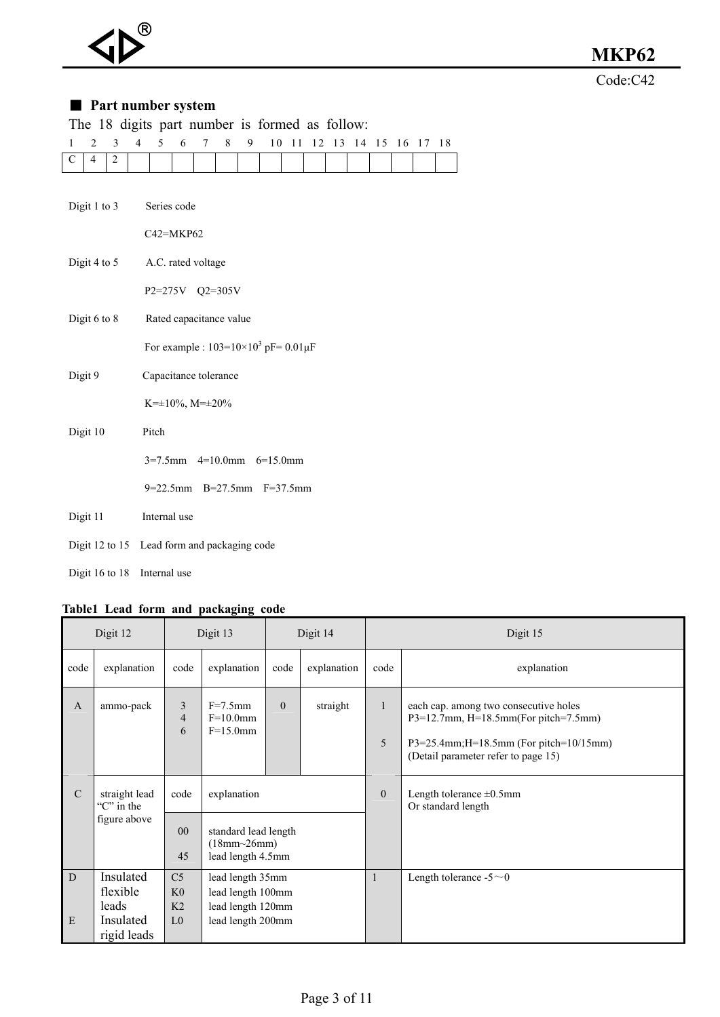Code:C42

#### ■ Part number system

|              |                  |                | The 18 digits part number is formed as follow: |              |   |                          |   |   |                                                   |  |  |  |                            |  |
|--------------|------------------|----------------|------------------------------------------------|--------------|---|--------------------------|---|---|---------------------------------------------------|--|--|--|----------------------------|--|
| $\mathbf{1}$ | $\overline{2}$   | 3              | $\overline{4}$                                 | 5            | 6 | $\tau$                   | 8 | 9 |                                                   |  |  |  | 10 11 12 13 14 15 16 17 18 |  |
| $\mathbf C$  | $\overline{4}$   | $\overline{c}$ |                                                |              |   |                          |   |   |                                                   |  |  |  |                            |  |
|              |                  |                |                                                |              |   |                          |   |   |                                                   |  |  |  |                            |  |
|              | Digit 1 to 3     |                |                                                | Series code  |   |                          |   |   |                                                   |  |  |  |                            |  |
|              |                  |                |                                                | C42=MKP62    |   |                          |   |   |                                                   |  |  |  |                            |  |
|              | Digit 4 to 5     |                |                                                |              |   | A.C. rated voltage       |   |   |                                                   |  |  |  |                            |  |
|              |                  |                |                                                |              |   | P2=275V Q2=305V          |   |   |                                                   |  |  |  |                            |  |
|              | Digit 6 to 8     |                |                                                |              |   | Rated capacitance value  |   |   |                                                   |  |  |  |                            |  |
|              |                  |                |                                                |              |   |                          |   |   | For example : $103=10\times10^3$ pF= $0.01 \mu$ F |  |  |  |                            |  |
|              | Digit 9          |                |                                                |              |   | Capacitance tolerance    |   |   |                                                   |  |  |  |                            |  |
|              |                  |                |                                                |              |   | $K=\pm 10\%, M=\pm 20\%$ |   |   |                                                   |  |  |  |                            |  |
|              | Digit 10         |                |                                                | Pitch        |   |                          |   |   |                                                   |  |  |  |                            |  |
|              |                  |                |                                                |              |   |                          |   |   | $3=7.5$ mm $4=10.0$ mm $6=15.0$ mm                |  |  |  |                            |  |
|              |                  |                |                                                |              |   |                          |   |   | $9=22.5$ mm B=27.5mm F=37.5mm                     |  |  |  |                            |  |
|              | Digit 11         |                |                                                | Internal use |   |                          |   |   |                                                   |  |  |  |                            |  |
|              |                  |                | Digit 12 to 15 Lead form and packaging code    |              |   |                          |   |   |                                                   |  |  |  |                            |  |
|              | Digit 16 to $18$ |                |                                                | Internal use |   |                          |   |   |                                                   |  |  |  |                            |  |

#### **Table1 Lead form and packaging code**

|               | Digit 12                                                   |                                                                      | Digit 13                                                                        |          | Digit 14    |                   | Digit 15                                                                                                                                                                 |
|---------------|------------------------------------------------------------|----------------------------------------------------------------------|---------------------------------------------------------------------------------|----------|-------------|-------------------|--------------------------------------------------------------------------------------------------------------------------------------------------------------------------|
| code          | explanation                                                | code                                                                 | explanation                                                                     | code     | explanation | code              | explanation                                                                                                                                                              |
| $\mathbf{A}$  | ammo-pack                                                  | 3<br>$\overline{4}$<br>6                                             | $F=7.5$ mm<br>$F=10.0$ mm<br>$F=15.0$ mm                                        | $\Omega$ | straight    | $\mathbf{1}$<br>5 | each cap. among two consecutive holes<br>$P3=12.7$ mm, $H=18.5$ mm(For pitch=7.5mm)<br>$P3=25.4$ mm; H=18.5mm (For pitch=10/15mm)<br>(Detail parameter refer to page 15) |
| $\mathcal{C}$ | straight lead<br>" $C$ " in the<br>figure above            | code<br>0 <sub>0</sub><br>45                                         | explanation<br>standard lead length<br>$(18mm - 26mm)$<br>lead length 4.5mm     |          |             | $\theta$          | Length tolerance $\pm 0.5$ mm<br>Or standard length                                                                                                                      |
| D<br>E        | Insulated<br>flexible<br>leads<br>Insulated<br>rigid leads | C <sub>5</sub><br>K <sub>0</sub><br>K <sub>2</sub><br>L <sub>0</sub> | lead length 35mm<br>lead length 100mm<br>lead length 120mm<br>lead length 200mm |          |             | $\overline{1}$    | Length tolerance $-5 \sim 0$                                                                                                                                             |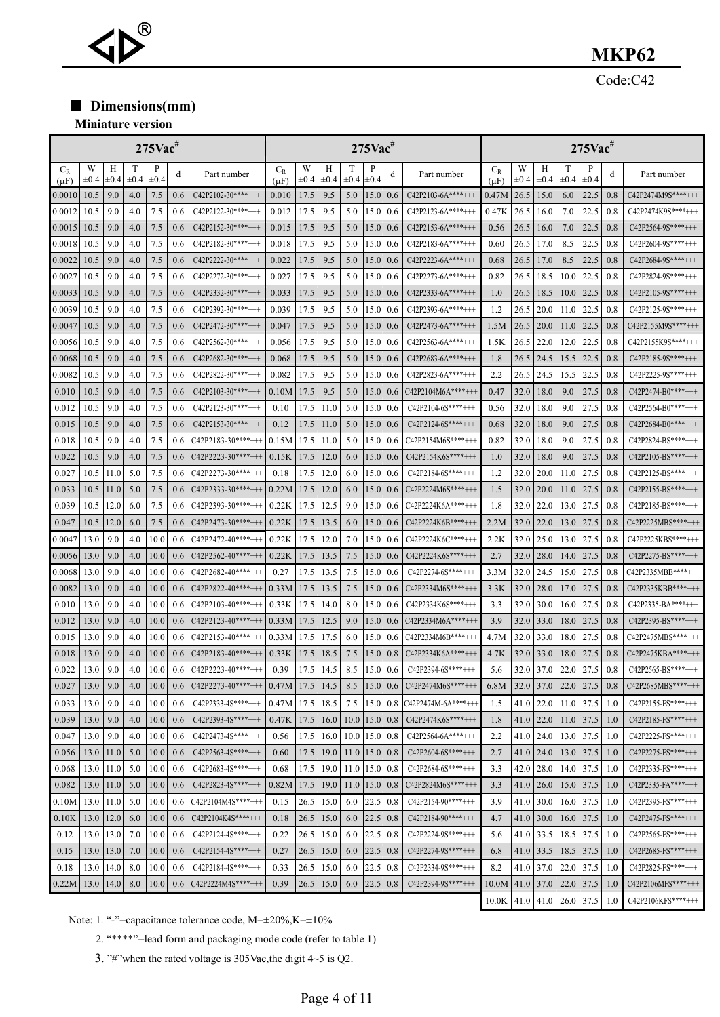# ®

### **MKP62**

Code:C42

■ **Dimensions(mm)** 

#### **Miniature version**

|                    | $275$ Vac <sup>#</sup> |                |           |                |     | $275$ Vac <sup>#</sup> |                    |                |                |                | $275$ Vac <sup>#</sup> |     |                     |                    |                   |                |                |                |     |                     |
|--------------------|------------------------|----------------|-----------|----------------|-----|------------------------|--------------------|----------------|----------------|----------------|------------------------|-----|---------------------|--------------------|-------------------|----------------|----------------|----------------|-----|---------------------|
| $C_R$<br>$(\mu F)$ | W<br>$\pm 0.4$         | Н<br>$\pm 0.4$ | $\pm 0.4$ | P<br>$\pm 0.4$ | d   | Part number            | $C_R$<br>$(\mu F)$ | W<br>$\pm 0.4$ | Н<br>$\pm 0.4$ | T<br>$\pm 0.4$ | P<br>$\pm 0.4$         | d   | Part number         | $C_R$<br>$(\mu F)$ | W<br>$_{\pm 0.4}$ | Н<br>$\pm 0.4$ | T<br>$\pm 0.4$ | P<br>$\pm 0.4$ | d   | Part number         |
| 0.0010             | 10.5                   | 9.0            | 4.0       | 7.5            | 0.6 | $C42P2102-30***++$     | 0.010              | 17.5           | 9.5            | 5.0            | 15.0                   | 0.6 | $C42P2103-6A***++$  | 0.47M              | 26.5              | 15.0           | 6.0            | 22.5           | 0.8 | C42P2474M9S****+++  |
| 0.0012             | 10.5                   | 9.0            | 4.0       | 7.5            | 0.6 | $C42P2122-30***++$     | 0.012              | 17.5           | 9.5            | 5.0            | 15.0                   | 0.6 | $C42P2123-6A***++$  | 0.47K              | 26.5              | 16.0           | 7.0            | 22.5           | 0.8 | C42P2474K9S****+++  |
| 0.0015             | 10.5                   | 9.0            | 4.0       | 7.5            | 0.6 | C42P2152-30****+++     | 0.015              | 17.5           | 9.5            | 5.0            | 15.0                   | 0.6 | $C42P2153-6A***++$  | 0.56               | 26.5              | 16.0           | 7.0            | 22.5           | 0.8 | $C42P2564-9S***++$  |
| $_{0.0018}$        | 10.5                   | 9.0            | 4.0       | 7.5            | 0.6 | $C42P2182-30***++$     | 0.018              | 17.5           | 9.5            | 5.0            | 15.0                   | 0.6 | $C42P2183-6A***++$  | 0.60               | 26.5              | 17.0           | 8.5            | 22.5           | 0.8 | $C42P2604-9S***+++$ |
| 0.0022             | 10.5                   | 9.0            | 4.0       | 7.5            | 0.6 | $C42P2222-30***++$     | 0.022              | 17.5           | 9.5            | 5.0            | 15.0                   | 0.6 | $C42P2223-6A***++$  | 0.68               | 26.5              | 17.0           | 8.5            | 22.5           | 0.8 | $C42P2684-9S***++$  |
| $_{0.0027}$        | 10.5                   | 9.0            | 4.0       | 7.5            | 0.6 | $C42P2272-30***+++$    | 0.027              | 17.5           | 9.5            | 5.0            | 15.0                   | 0.6 | $C42P2273-6A***++$  | 0.82               | 26.5              | 18.5           | 10.0           | 22.5           | 0.8 | $C42P2824-9S***++$  |
| 0.0033             | 10.5                   | 9.0            | 4.0       | 7.5            | 0.6 | $C42P2332-30***++$     | 0.033              | 17.5           | 9.5            | 5.0            | 15.0                   | 0.6 | $C42P2333-6A***++$  | 1.0                | 26.5              | 18.5           | 10.0           | 22.5           | 0.8 | $C42P2105-9S***++$  |
| 0.0039             | 10.5                   | 9.0            | 4.0       | 7.5            | 0.6 | C42P2392-30****+++     | 0.039              | 17.5           | 9.5            | 5.0            | 15.0                   | 0.6 | $C42P2393-6A***++$  | 1.2                | 26.5              | 20.0           | 11.0           | 22.5           | 0.8 | C42P2125-9S****+++  |
| 0.0047             | 10.5                   | 9.0            | 4.0       | 7.5            | 0.6 | $C42P2472-30***++$     | 0.047              | 17.5           | 9.5            | 5.0            | 15.0                   | 0.6 | $C42P2473-6A***++$  | 1.5M               | 26.5              | <b>20.0</b>    | 11.0           | 22.5           | 0.8 | C42P2155M9S****+++  |
| 0.0056             | 10.5                   | 9.0            | 4.0       | 7.5            | 0.6 | $C42P2562-30***++$     | 0.056              | 17.5           | 9.5            | 5.0            | 15.0                   | 0.6 | $C42P2563-6A***++$  | 1.5K               | 26.5              | 22.0           | 12.0           | 22.5           | 0.8 | $C42P2155K9S***++$  |
| 0.0068             | 10.5                   | 9.0            | 4.0       | 7.5            | 0.6 | C42P2682-30****+++     | 0.068              | 17.5           | 9.5            | 5.0            | 15.0                   | 0.6 | $C42P2683-6A***++$  | 1.8                | 26.5              | 24.5           | 15.5           | 22.5           | 0.8 | $C42P2185-9S***++$  |
| $_{0.0082}$        | 10.5                   | 9.0            | 4.0       | 7.5            | 0.6 | $C42P2822-30***++$     | 0.082              | 17.5           | 9.5            | 5.0            | 15.0                   | 0.6 | $C42P2823-6A***++$  | 2.2                | 26.5              | 24.5           | 15.5           | 22.5           | 0.8 | $C42P2225-9S***+++$ |
| 0.010              | 10.5                   | 9.0            | 4.0       | 7.5            | 0.6 | $C42P2103-30***+++$    | 0.10M              | 17.5           | 9.5            | 5.0            | 15.0                   | 0.6 | $C42P2104M6A***++$  | 0.47               | 32.0              | 18.0           | 9.0            | 27.5           | 0.8 | $C42P2474-B0***++$  |
| 0.012              | 10.5                   | 9.0            | 4.0       | 7.5            | 0.6 | $C42P2123-30***++$     | 0.10               | 17.5           | 11.0           | 5.0            | 15.0                   | 0.6 | $C42P2104-6S***++$  | 0.56               | 32.0              | 18.0           | 9.0            | 27.5           | 0.8 | $C42P2564-B0***++$  |
| 0.015              | 10.5                   | 9.0            | 4.0       | 7.5            | 0.6 | $C42P2153-30***++$     | 0.12               | 17.5           | 11.0           | 5.0            | 15.0                   | 0.6 | $C42P2124-6S***++$  | 0.68               | 32.0              | 18.0           | 9.0            | 27.5           | 0.8 | $C42P2684-B0***++$  |
| 0.018              | 10.5                   | 9.0            | 4.0       | 7.5            | 0.6 | $C42P2183-30***++$     | 0.15M              | 17.5           | 11.0           | 5.0            | 15.0                   | 0.6 | $C42P2154M6S***++$  | 0.82               | 32.0              | 18.0           | 9.0            | 27.5           | 0.8 | $C42P2824-BS***++$  |
| 0.022              | 10.5                   | 9.0            | 4.0       | 7.5            | 0.6 | $C42P2223-30***++$     | 0.15K              | 17.5           | 12.0           | 6.0            | 15.0                   | 0.6 | $C42P2154K6S***++$  | 1.0                | 32.0              | 18.0           | 9.0            | 27.5           | 0.8 | $C42P2105-BS***++$  |
| 0.027              | 10.5                   | 11.0           | 5.0       | 7.5            | 0.6 | $C42P2273-30***++$     | 0.18               | 17.5           | 12.0           | 6.0            | 15.0                   | 0.6 | $C42P2184-6S***++$  | 1.2                | 32.0              | 20.0           | 11.0           | 27.5           | 0.8 | $C42P2125-BS***++$  |
| 0.033              | 10.5                   | 11.0           | 5.0       | 7.5            | 0.6 | $C42P2333-30***++$     | 0.22M              | 17.5           | 12.0           | 6.0            | 15.0                   | 0.6 | $C42P2224M6S***++$  | 1.5                | 32.0              | 20.0           | 11.0           | 27.5           | 0.8 | $C42P2155-BS***++$  |
| 0.039              | 10.5                   | 12.0           | 6.0       | 7.5            | 0.6 | $C42P2393-30***++$     | 0.22K              | 17.5           | 12.5           | 9.0            | 15.0                   | 0.6 | $C42P2224K6A***++$  | 1.8                | 32.0              | 22.0           | 13.0           | 27.5           | 0.8 | $C42P2185-BS***++$  |
| 0.047              | 10.5                   | 12.0           | 6.0       | 7.5            | 0.6 | $C42P2473-30***++$     | 0.22K              | 17.5           | 13.5           | 6.0            | 15.0                   | 0.6 | $C42P2224K6B***++$  | 2.2M               | 32.0              | 22.0           | 13.0           | 27.5           | 0.8 | $C42P2225MBS***++$  |
| $_{0.0047}$        | 13.0                   | 9.0            | 4.0       | 10.0           | 0.6 | $C42P2472-40***++$     | 0.22K              | 17.5           | 12.0           | 7.0            | 15.0                   | 0.6 | C42P2224K6C****+++  | 2.2K               | 32.0              | 25.0           | 13.0           | 27.5           | 0.8 | C42P2225KBS****+++  |
| 0.0056             | 13.0                   | 9.0            | 4.0       | 10.0           | 0.6 | $C42P2562-40***++$     | 0.22K              | 17.5           | 13.5           | 7.5            | 15.0                   | 0.6 | $C42P2224K6S***++$  | 2.7                | 32.0              | 28.0           | 14.0           | 27.5           | 0.8 | C42P2275-BS****+++  |
| 0.0068             | 13.0                   | 9.0            | 4.0       | 10.0           | 0.6 | C42P2682-40****+++     | 0.27               | 17.5           | 13.5           | 7.5            | 15.0                   | 0.6 | $C42P2274-6S***++$  | 3.3M               | 32.0              | 24.5           | 15.0           | 27.5           | 0.8 | C42P2335MBB****+++  |
| 0.0082             | 13.0                   | 9.0            | 4.0       | 10.0           | 0.6 | $C42P2822-40***++$     | 0.33M              | 17.5           | 13.5           | 7.5            | 15.0                   | 0.6 | $C42P2334M6S***++$  | 3.3K               | 32.0              | 28.0           | 17.0           | 27.5           | 0.8 | $C42P2335KBB***++$  |
| 0.010              | 13.0                   | 9.0            | 4.0       | 10.0           | 0.6 | $C42P2103-40***++$     | 0.33K              | 17.5           | 14.0           | 8.0            | 15.0                   | 0.6 | $C42P2334K6S***++$  | 3.3                | 32.0              | 30.0           | 16.0           | 27.5           | 0.8 | $C42P2335-BA***++$  |
| 0.012              | 13.0                   | 9.0            | 4.0       | 10.0           | 0.6 | $C42P2123-40***++$     | 0.33M              | 17.5           | 12.5           | 9.0            | 15.0                   | 0.6 | $C42P2334M6A***++$  | 3.9                | 32.0              | 33.0           | 18.0           | 27.5           | 0.8 | $C42P2395-BS***++$  |
| 0.015              | 13.0                   | 9.0            | 4.0       | 10.0           | 0.6 | $C42P2153-40***++$     | 0.33M              | 17.5           | 17.5           | 6.0            | 15.0                   | 0.6 | C42P2334M6B****+++  | 4.7M               | 32.0              | 33.0           | 18.0           | 27.5           | 0.8 | C42P2475MBS****+++  |
| 0.018              | 13.0                   | 9.0            | 4.0       | 10.0           | 0.6 | $C42P2183-40***++$     | 0.33K              | 17.5           | 18.5           | 7.5            | 15.0                   | 0.8 | $C42P2334K6A***++$  | 4.7K               | 32.0              | 33.0           | 18.0           | 27.5           | 0.8 | C42P2475KBA****+++  |
| 0.022              | 13.0                   | 9.0            | 4.0       | 10.0           | 0.6 | $C42P2223-40***++$     | 0.39               | 17.5           | 14.5           | 8.5            | 15.0                   | 0.6 | $C42P2394-6S***++$  | 5.6                | 32.0              | 37.0           | 22.0           | 27.5           | 0.8 | $C42P2565-BS***++$  |
| 0.027              | 13.0                   | 9.0            | 4.0       | 10.0           | 0.6 | $C42P2273-40***++$     | 0.47M              | 17.5           | 14.5           | 8.5            | 15.0                   | 0.6 | C42P2474M6S****+++  | 6.8M               | 32.0              | 37.0           | 22.0           | 27.5           | 0.8 | $C42P2685MBS***++$  |
| 0.033              | 13.0                   | 9.0            | 4.0       | 10.0           | 0.6 | C42P2333-4S****+++     | 0.47M              | 17.5           | 18.5           |                | 7.5 15.0               | 0.8 | $C42P2474M-6A***++$ | 1.5                | 41.0              | 22.0           | 11.0           | 37.5           | 1.0 | $C42P2155-FS***++$  |
| 0.039              | 13.0                   | 9.0            | 4.0       | 10.0           | 0.6 | $C42P2393-4S***++$     | 0.47K              | 17.5           | 16.0           | $10.0$  15.0   |                        | 0.8 | $C42P2474K6S***++$  | 1.8                | 41.0              | 22.0           | 11.0           | 37.5           | 1.0 | $C42P2185-FS***++$  |
| 0.047              | 13.0                   | 9.0            | 4.0       | 10.0           | 0.6 | $C42P2473-4S***++$     | 0.56               | 17.5           | 16.0           | $10.0$ 15.0    |                        | 0.8 | $C42P2564-6A***++$  | 2.2                | 41.0              | 24.0           | 13.0           | 37.5           | 1.0 | C42P2225-FS****+++  |
| 0.056              | 13.0                   | 11.0           | 5.0       | 10.0           | 0.6 | $C42P2563-4S***++$     | 0.60               | 17.5           | 19.0           | $11.0$  15.0   |                        | 0.8 | C42P2604-6S****+++  | 2.7                | 41.0              | 24.0           | 13.0           | 37.5           | 1.0 | C42P2275-FS****+++  |
| 0.068              | 13.0                   | 11.0           | 5.0       | 10.0           | 0.6 | $C42P2683-4S***++$     | 0.68               | 17.5           | 19.0           | 11.0 15.0      |                        | 0.8 | $C42P2684-6S***++$  | 3.3                | 42.0              | 28.0           | 14.0           | 37.5           | 1.0 | C42P2335-FS****+++  |
| 0.082              | 13.0                   | 11.0           | 5.0       | 10.0           | 0.6 | C42P2823-4S****+++     | 0.82M              | 17.5           | 19.0           | $11.0$  15.0   |                        | 0.8 | $C42P2824M6S***++$  | 3.3                |                   | $41.0$ 26.0    | 15.0           | 37.5           | 1.0 | $C42P2335-FA***++$  |
| 0.10M              | 13.0                   | 11.0           | 5.0       | 10.0           | 0.6 | $C42P2104M4S***++$     | 0.15               | 26.5           | 15.0           | 6.0            | 22.5                   | 0.8 | $C42P2154-90***++$  | 3.9                | 41.0              | 30.0           | 16.0           | 37.5           | 1.0 | C42P2395-FS****+++  |
| 0.10K              | 13.0                   | 12.0           | 6.0       | 10.0           | 0.6 | C42P2104K4S****+++     | 0.18               | 26.5           | 15.0           | 6.0            | 22.5                   | 0.8 | $C42P2184-90***++$  | 4.7                | 41.0              | 30.0           | 16.0           | 37.5           | 1.0 | C42P2475-FS****+++  |
| 0.12               | 13.0                   | 13.0           | 7.0       | 10.0           | 0.6 | C42P2124-4S****+++     | 0.22               | 26.5           | 15.0           | 6.0            | 22.5                   | 0.8 | C42P2224-9S****+++  | 5.6                | 41.0              | 33.5           | 18.5           | 37.5           | 1.0 | C42P2565-FS****+++  |
| 0.15               | 13.0                   | 13.0           | 7.0       | 10.0           | 0.6 | C42P2154-4S****+++     | 0.27               | 26.5           | 15.0           | 6.0            | 22.5                   | 0.8 | C42P2274-9S****+++  | 6.8                | 41.0              | 33.5           | 18.5           | 37.5           | 1.0 | C42P2685-FS****+++  |
| 0.18               | 13.0                   | 14.0           | 8.0       | 10.0           | 0.6 | C42P2184-4S****+++     | 0.33               | 26.5           | 15.0           | 6.0            | 22.5                   | 0.8 | C42P2334-9S****+++  | 8.2                | 41.0              | 37.0           | 22.0           | 37.5           | 1.0 | C42P2825-FS****+++  |
| 0.22M              | 13.0                   | 14.0           | 8.0       | 10.0           | 0.6 | C42P2224M4S****+++     | 0.39               | 26.5           | 15.0           | 6.0            | 22.5                   | 0.8 | C42P2394-9S****+++  | 10.0M              | 41.0              | 37.0           | 22.0           | 37.5           | 1.0 | C42P2106MFS****+++  |
|                    |                        |                |           |                |     |                        |                    |                |                |                |                        |     |                     | 10.0K              | 41.0              | 41.0           | 26.0           | 37.5           | 1.0 | C42P2106KFS****+++  |

Note: 1. "-"=capacitance tolerance code, M=±20%,K=±10%

2. "\*\*\*\*"=lead form and packaging mode code (refer to table 1)

3. "#"when the rated voltage is 305Vac,the digit 4~5 is Q2.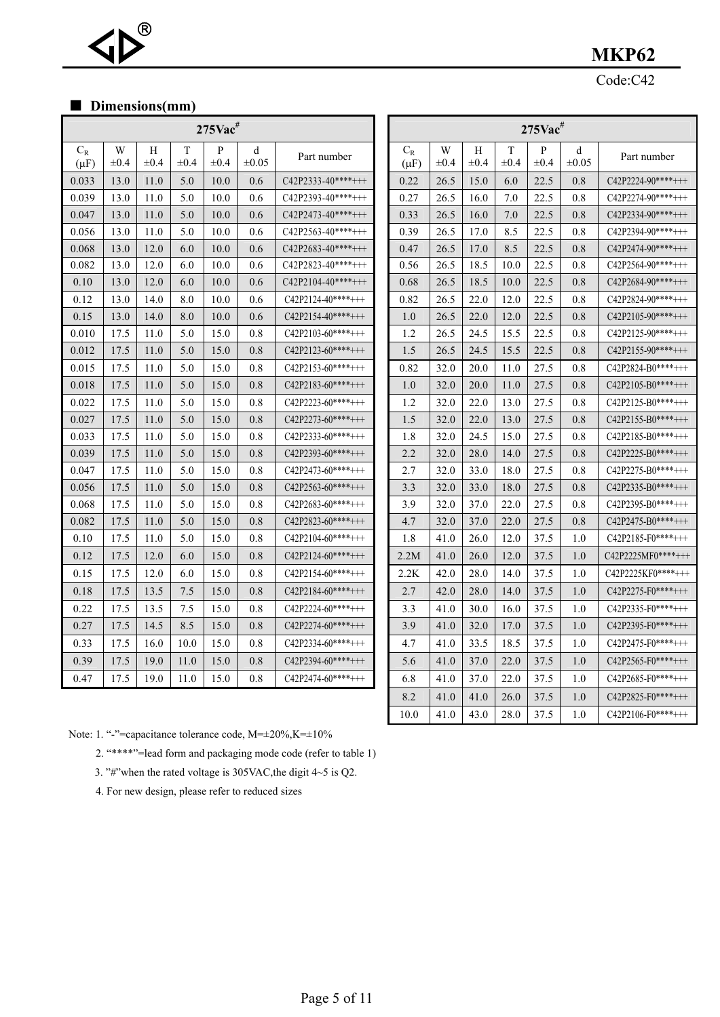#### Code:C42

 $10.0$  41.0 43.0 28.0 37.5 1.0  $\sqrt{(42P2106-F0***+++)}$ 

#### ■ **Dimensions(mm)**

®

 $\blacktriangleleft$ 

| $\blacksquare$ DIMENSIONS(MM) |                |                |                |                           |                 |                    |  |                        |                |                |                |                           |                 |                    |  |
|-------------------------------|----------------|----------------|----------------|---------------------------|-----------------|--------------------|--|------------------------|----------------|----------------|----------------|---------------------------|-----------------|--------------------|--|
|                               |                |                |                | $275$ Vac <sup>#</sup>    |                 |                    |  | $275$ Vac <sup>#</sup> |                |                |                |                           |                 |                    |  |
| $C_R$<br>$(\mu F)$            | W<br>$\pm 0.4$ | Н<br>$\pm 0.4$ | T<br>$\pm 0.4$ | $\mathbf{P}$<br>$\pm 0.4$ | d<br>$\pm 0.05$ | Part number        |  | $C_R$<br>$(\mu F)$     | W<br>$\pm 0.4$ | Н<br>$\pm 0.4$ | T<br>$\pm 0.4$ | $\mathbf{P}$<br>$\pm 0.4$ | d<br>$\pm 0.05$ | Part number        |  |
| 0.033                         | 13.0           | 11.0           | 5.0            | 10.0                      | 0.6             | $C42P2333-40***++$ |  | 0.22                   | 26.5           | 15.0           | 6.0            | 22.5                      | 0.8             | $C42P2224-90***++$ |  |
| 0.039                         | 13.0           | 11.0           | 5.0            | 10.0                      | 0.6             | $C42P2393-40***++$ |  | 0.27                   | 26.5           | 16.0           | 7.0            | 22.5                      | 0.8             | $C42P2274-90***++$ |  |
| 0.047                         | 13.0           | 11.0           | 5.0            | 10.0                      | 0.6             | $C42P2473-40***++$ |  | 0.33                   | 26.5           | 16.0           | 7.0            | 22.5                      | 0.8             | $C42P2334-90***++$ |  |
| 0.056                         | 13.0           | 11.0           | 5.0            | 10.0                      | 0.6             | $C42P2563-40***++$ |  | 0.39                   | 26.5           | 17.0           | 8.5            | 22.5                      | 0.8             | $C42P2394-90***++$ |  |
| 0.068                         | 13.0           | 12.0           | 6.0            | 10.0                      | 0.6             | $C42P2683-40***++$ |  | 0.47                   | 26.5           | 17.0           | 8.5            | 22.5                      | 0.8             | $C42P2474-90***++$ |  |
| 0.082                         | 13.0           | 12.0           | 6.0            | 10.0                      | 0.6             | $C42P2823-40***++$ |  | 0.56                   | 26.5           | 18.5           | 10.0           | 22.5                      | 0.8             | $C42P2564-90***++$ |  |
| 0.10                          | 13.0           | 12.0           | 6.0            | 10.0                      | 0.6             | $C42P2104-40***++$ |  | 0.68                   | 26.5           | 18.5           | 10.0           | 22.5                      | 0.8             | $C42P2684-90***++$ |  |
| 0.12                          | 13.0           | 14.0           | 8.0            | 10.0                      | 0.6             | $C42P2124-40***++$ |  | 0.82                   | 26.5           | 22.0           | 12.0           | 22.5                      | 0.8             | $C42P2824-90***++$ |  |
| 0.15                          | 13.0           | 14.0           | 8.0            | 10.0                      | 0.6             | $C42P2154-40***++$ |  | 1.0                    | 26.5           | 22.0           | 12.0           | 22.5                      | 0.8             | $C42P2105-90***++$ |  |
| 0.010                         | 17.5           | 11.0           | 5.0            | 15.0                      | 0.8             | $C42P2103-60***++$ |  | 1.2                    | 26.5           | 24.5           | 15.5           | 22.5                      | 0.8             | $C42P2125-90***++$ |  |
| 0.012                         | 17.5           | 11.0           | 5.0            | 15.0                      | 0.8             | $C42P2123-60***++$ |  | 1.5                    | 26.5           | 24.5           | 15.5           | 22.5                      | 0.8             | $C42P2155-90***++$ |  |
| 0.015                         | 17.5           | 11.0           | 5.0            | 15.0                      | 0.8             | C42P2153-60****+++ |  | 0.82                   | 32.0           | 20.0           | 11.0           | 27.5                      | 0.8             | $C42P2824-B0***++$ |  |
| 0.018                         | 17.5           | 11.0           | 5.0            | 15.0                      | 0.8             | $C42P2183-60***++$ |  | 1.0                    | 32.0           | 20.0           | 11.0           | 27.5                      | 0.8             | $C42P2105-B0***++$ |  |
| 0.022                         | 17.5           | 11.0           | 5.0            | 15.0                      | 0.8             | $C42P2223-60***++$ |  | 1.2                    | 32.0           | 22.0           | 13.0           | 27.5                      | 0.8             | $C42P2125-B0***++$ |  |
| 0.027                         | 17.5           | 11.0           | 5.0            | 15.0                      | 0.8             | $C42P2273-60***++$ |  | 1.5                    | 32.0           | 22.0           | 13.0           | 27.5                      | 0.8             | $C42P2155-B0***++$ |  |
| 0.033                         | 17.5           | 11.0           | 5.0            | 15.0                      | 0.8             | $C42P2333-60***++$ |  | 1.8                    | 32.0           | 24.5           | 15.0           | 27.5                      | 0.8             | $C42P2185-B0***++$ |  |
| 0.039                         | 17.5           | 11.0           | 5.0            | 15.0                      | 0.8             | $C42P2393-60***++$ |  | 2.2                    | 32.0           | 28.0           | 14.0           | 27.5                      | 0.8             | $C42P2225-B0***++$ |  |
| 0.047                         | 17.5           | 11.0           | 5.0            | 15.0                      | 0.8             | $C42P2473-60***++$ |  | 2.7                    | 32.0           | 33.0           | 18.0           | 27.5                      | 0.8             | $C42P2275-B0***++$ |  |
| 0.056                         | 17.5           | 11.0           | 5.0            | 15.0                      | 0.8             | $C42P2563-60***++$ |  | 3.3                    | 32.0           | 33.0           | 18.0           | 27.5                      | 0.8             | $C42P2335-B0***++$ |  |
| 0.068                         | 17.5           | 11.0           | 5.0            | 15.0                      | 0.8             | $C42P2683-60***++$ |  | 3.9                    | 32.0           | 37.0           | 22.0           | 27.5                      | 0.8             | $C42P2395-B0***++$ |  |
| 0.082                         | 17.5           | 11.0           | 5.0            | 15.0                      | 0.8             | $C42P2823-60***++$ |  | 4.7                    | 32.0           | 37.0           | 22.0           | 27.5                      | 0.8             | $C42P2475-B0***++$ |  |
| 0.10                          | 17.5           | 11.0           | 5.0            | 15.0                      | 0.8             | $C42P2104-60***++$ |  | 1.8                    | 41.0           | 26.0           | 12.0           | 37.5                      | 1.0             | $C42P2185-F0***++$ |  |
| 0.12                          | 17.5           | 12.0           | 6.0            | 15.0                      | 0.8             | $C42P2124-60***++$ |  | 2.2M                   | 41.0           | 26.0           | 12.0           | 37.5                      | 1.0             | $C42P2225MF0***++$ |  |
| 0.15                          | 17.5           | 12.0           | 6.0            | 15.0                      | 0.8             | $C42P2154-60***++$ |  | 2.2K                   | 42.0           | 28.0           | 14.0           | 37.5                      | 1.0             | $C42P2225KF0***++$ |  |
| 0.18                          | 17.5           | 13.5           | 7.5            | 15.0                      | 0.8             | $C42P2184-60***++$ |  | 2.7                    | 42.0           | 28.0           | 14.0           | 37.5                      | 1.0             | $C42P2275-F0***++$ |  |
| 0.22                          | 17.5           | 13.5           | 7.5            | 15.0                      | 0.8             | $C42P2224-60***++$ |  | 3.3                    | 41.0           | 30.0           | 16.0           | 37.5                      | 1.0             | $C42P2335-F0***++$ |  |
| 0.27                          | 17.5           | 14.5           | 8.5            | 15.0                      | 0.8             | $C42P2274-60***++$ |  | 3.9                    | 41.0           | 32.0           | 17.0           | 37.5                      | 1.0             | $C42P2395-F0***++$ |  |
| 0.33                          | 17.5           | 16.0           | 10.0           | 15.0                      | 0.8             | $C42P2334-60***++$ |  | 4.7                    | 41.0           | 33.5           | 18.5           | 37.5                      | 1.0             | $C42P2475-F0***++$ |  |
| 0.39                          | 17.5           | 19.0           | 11.0           | 15.0                      | 0.8             | $C42P2394-60***++$ |  | 5.6                    | 41.0           | 37.0           | 22.0           | 37.5                      | 1.0             | $C42P2565-F0***++$ |  |
| 0.47                          | 17.5           | 19.0           | 11.0           | 15.0                      | 0.8             | $C42P2474-60***++$ |  | 6.8                    | 41.0           | 37.0           | 22.0           | 37.5                      | 1.0             | $C42P2685-F0***++$ |  |
|                               |                |                |                |                           |                 |                    |  | 8.2                    | 41.0           | 41.0           | 26.0           | 37.5                      | 1.0             | $C42P2825-F0***++$ |  |

Note: 1. "-"=capacitance tolerance code, M=±20%,K=±10%

2. "\*\*\*\*"=lead form and packaging mode code (refer to table 1)

3. "#"when the rated voltage is 305VAC,the digit 4~5 is Q2.

4. For new design, please refer to reduced sizes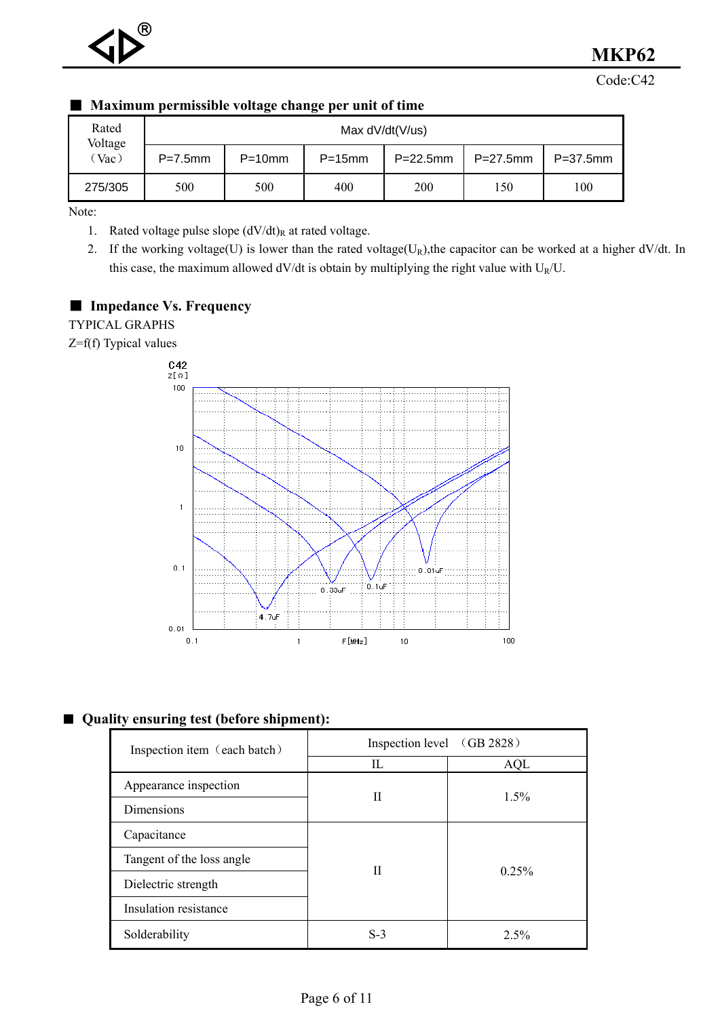Code:C42

| . .              |                   | глалппит регинзярне тонаде спанде рег инц от инце |           |             |             |               |  |  |  |  |  |  |
|------------------|-------------------|---------------------------------------------------|-----------|-------------|-------------|---------------|--|--|--|--|--|--|
| Rated<br>Voltage | Max $dV/dt(V/us)$ |                                                   |           |             |             |               |  |  |  |  |  |  |
| (Vac)            | $P=7.5$ mm        | $P=10$ mm                                         | $P=15$ mm | $P=22.5$ mm | $P=27.5$ mm | $P = 37.5$ mm |  |  |  |  |  |  |
| 275/305          | 500               | 500                                               | 400       | 200         | 150         | 100           |  |  |  |  |  |  |

#### ■ **Maximum permissible voltage change per unit of time**

Note:

1. Rated voltage pulse slope  $(dV/dt)_R$  at rated voltage.

2. If the working voltage(U) is lower than the rated voltage( $U_R$ ), the capacitor can be worked at a higher dV/dt. In this case, the maximum allowed  $dV/dt$  is obtain by multiplying the right value with  $U_R/U$ .

#### ■ **Impedance Vs. Frequency**

TYPICAL GRAPHS

Z=f(f) Typical values



#### ■ Quality ensuring test (before shipment):

| Inspection item (each batch) | Inspection level (GB 2828) |         |  |  |  |  |  |
|------------------------------|----------------------------|---------|--|--|--|--|--|
|                              | Н.                         | AQL     |  |  |  |  |  |
| Appearance inspection        | Н                          |         |  |  |  |  |  |
| Dimensions                   |                            | $1.5\%$ |  |  |  |  |  |
| Capacitance                  |                            |         |  |  |  |  |  |
| Tangent of the loss angle    | Н                          | 0.25%   |  |  |  |  |  |
| Dielectric strength          |                            |         |  |  |  |  |  |
| Insulation resistance        |                            |         |  |  |  |  |  |
| Solderability                | $S-3$                      | $2.5\%$ |  |  |  |  |  |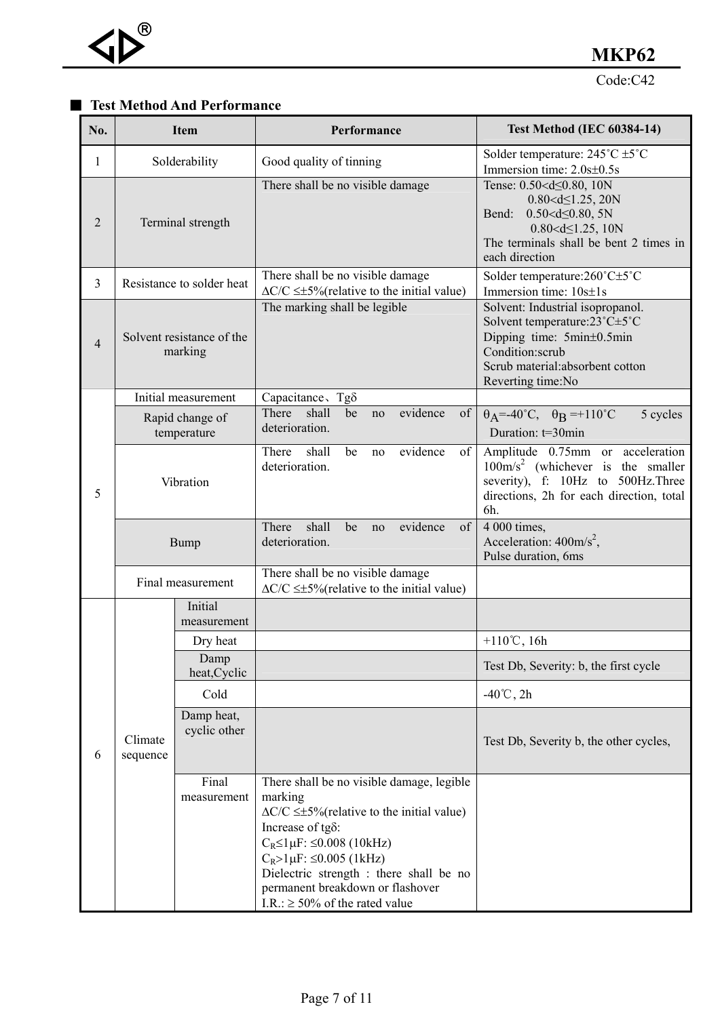#### ■ **Test Method And Performance**

| No.            |                     | <b>Item</b>                          | Performance                                                                                                                                                                                                                                                                                                                                                 | <b>Test Method (IEC 60384-14)</b>                                                                                                                                                                                                                 |
|----------------|---------------------|--------------------------------------|-------------------------------------------------------------------------------------------------------------------------------------------------------------------------------------------------------------------------------------------------------------------------------------------------------------------------------------------------------------|---------------------------------------------------------------------------------------------------------------------------------------------------------------------------------------------------------------------------------------------------|
| 1              |                     | Solderability                        | Good quality of tinning                                                                                                                                                                                                                                                                                                                                     | Solder temperature: $245^{\circ}$ C $\pm 5^{\circ}$ C<br>Immersion time: 2.0s±0.5s                                                                                                                                                                |
| 2              |                     | Terminal strength                    | There shall be no visible damage                                                                                                                                                                                                                                                                                                                            | Tense: 0.50 <d 0.80,="" 10n<br="" <=""><math>0.80 &lt; d \leq 1.25</math>, 20N<br/><math>0.50 &lt; d \leq 0.80, 5N</math><br/>Bend:<br/><math>0.80 &lt; d \leq 1.25</math>, 10N<br/>The terminals shall be bent 2 times in<br/>each direction</d> |
| $\overline{3}$ |                     | Resistance to solder heat            | There shall be no visible damage<br>$\Delta$ C/C $\leq \pm$ 5% (relative to the initial value)                                                                                                                                                                                                                                                              | Solder temperature:260°C±5°C<br>Immersion time: $10s \pm 1s$                                                                                                                                                                                      |
| $\overline{4}$ |                     | Solvent resistance of the<br>marking | The marking shall be legible                                                                                                                                                                                                                                                                                                                                | Solvent: Industrial isopropanol.<br>Solvent temperature: 23°C±5°C<br>Dipping time: 5min±0.5min<br>Condition:scrub<br>Scrub material: absorbent cotton<br>Reverting time:No                                                                        |
|                |                     | Initial measurement                  | Capacitance, Tg <sub>δ</sub>                                                                                                                                                                                                                                                                                                                                |                                                                                                                                                                                                                                                   |
|                |                     | Rapid change of<br>temperature       | There<br>shall<br>evidence<br>be<br>no<br>of<br>deterioration.                                                                                                                                                                                                                                                                                              | $\theta_{\rm A}$ =-40°C, $\theta_{\rm B}$ =+110°C<br>5 cycles<br>Duration: t=30min                                                                                                                                                                |
| 5              |                     | Vibration                            | shall<br>evidence<br>There<br>be<br>of<br>no<br>deterioration.                                                                                                                                                                                                                                                                                              | Amplitude 0.75mm or acceleration<br>$100 \text{m/s}^2$ (whichever is the smaller<br>severity), f: 10Hz to 500Hz. Three<br>directions, 2h for each direction, total<br>6h.                                                                         |
|                |                     | <b>Bump</b>                          | evidence<br>There<br>shall<br>be<br>of<br>no<br>deterioration.                                                                                                                                                                                                                                                                                              | $\overline{4000}$ times,<br>Acceleration: $400 \text{m/s}^2$ ,<br>Pulse duration, 6ms                                                                                                                                                             |
|                |                     | Final measurement                    | There shall be no visible damage<br>$\Delta$ C/C $\leq \pm$ 5% (relative to the initial value)                                                                                                                                                                                                                                                              |                                                                                                                                                                                                                                                   |
|                |                     | Initial<br>measurement               |                                                                                                                                                                                                                                                                                                                                                             |                                                                                                                                                                                                                                                   |
|                |                     | Dry heat                             |                                                                                                                                                                                                                                                                                                                                                             | +110°C, 16h                                                                                                                                                                                                                                       |
|                |                     | Damp<br>heat, Cyclic                 |                                                                                                                                                                                                                                                                                                                                                             | Test Db, Severity: b, the first cycle                                                                                                                                                                                                             |
|                |                     | Cold                                 |                                                                                                                                                                                                                                                                                                                                                             | $-40^{\circ}$ C, 2h                                                                                                                                                                                                                               |
| 6              | Climate<br>sequence | Damp heat,<br>cyclic other           |                                                                                                                                                                                                                                                                                                                                                             | Test Db, Severity b, the other cycles,                                                                                                                                                                                                            |
|                |                     | Final<br>measurement                 | There shall be no visible damage, legible<br>marking<br>$\Delta C/C \leq \pm 5\%$ (relative to the initial value)<br>Increase of tg $\delta$ :<br>$C_R \leq 1 \mu F$ : $\leq 0.008$ (10kHz)<br>$C_R > 1 \mu F$ : $\leq 0.005$ (1kHz)<br>Dielectric strength : there shall be no<br>permanent breakdown or flashover<br>I.R.: $\geq 50\%$ of the rated value |                                                                                                                                                                                                                                                   |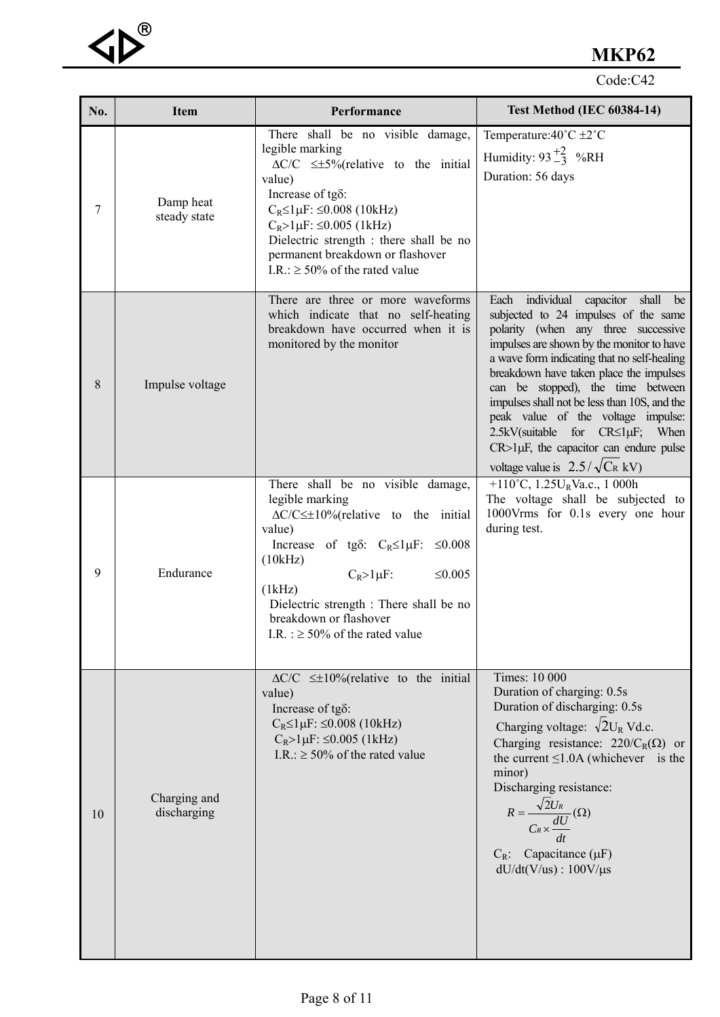#### Code:C42

| No. | <b>Item</b>                 | Performance                                                                                                                                                                                                                                                                                                                                                   | <b>Test Method (IEC 60384-14)</b>                                                                                                                                                                                                                                                                                                                                                                                                                                                                                                                |  |  |
|-----|-----------------------------|---------------------------------------------------------------------------------------------------------------------------------------------------------------------------------------------------------------------------------------------------------------------------------------------------------------------------------------------------------------|--------------------------------------------------------------------------------------------------------------------------------------------------------------------------------------------------------------------------------------------------------------------------------------------------------------------------------------------------------------------------------------------------------------------------------------------------------------------------------------------------------------------------------------------------|--|--|
| 7   | Damp heat<br>steady state   | There shall be no visible damage,<br>legible marking<br>$\Delta C/C \leq \pm 5\%$ (relative to the initial<br>value)<br>Increase of $tg\delta$ :<br>$C_R \leq 1 \mu F$ : $\leq 0.008$ (10kHz)<br>$C_R > 1 \mu F$ : $\leq 0.005$ (1kHz)<br>Dielectric strength : there shall be no<br>permanent breakdown or flashover<br>I.R.: $\geq 50\%$ of the rated value | Temperature: $40^{\circ}$ C $\pm 2^{\circ}$ C<br>Humidity: $93\frac{+2}{-3}$ %RH<br>Duration: 56 days                                                                                                                                                                                                                                                                                                                                                                                                                                            |  |  |
| 8   | Impulse voltage             | There are three or more waveforms<br>which indicate that no self-heating<br>breakdown have occurred when it is<br>monitored by the monitor                                                                                                                                                                                                                    | individual<br>Each<br>capacitor<br>shall<br>be<br>subjected to 24 impulses of the same<br>polarity (when any three successive<br>impulses are shown by the monitor to have<br>a wave form indicating that no self-healing<br>breakdown have taken place the impulses<br>can be stopped), the time between<br>impulses shall not be less than 10S, and the<br>peak value of the voltage impulse:<br>$2.5kV$ (suitable for $CR \leq l \mu F$ ;<br>When<br>$CR > 1 \mu F$ , the capacitor can endure pulse<br>voltage value is $2.5/\sqrt{C_R}$ kV) |  |  |
| 9   | Endurance                   | There shall be no visible damage,<br>legible marking<br>$\Delta C/C \leq \pm 10\%$ (relative to the initial<br>value)<br>Increase of tg $\delta$ : $C_R \leq 1 \mu F$ : $\leq 0.008$<br>(10kHz)<br>$C_R > l \mu F$ :<br>$\leq 0.005$<br>(lkHz)<br>Dielectric strength : There shall be no<br>breakdown or flashover<br>I.R. : $\geq$ 50% of the rated value   | +110°C, 1.25U <sub>R</sub> Va.c., 1 000h<br>The voltage shall be subjected to<br>1000Vrms for 0.1s every one hour<br>during test.                                                                                                                                                                                                                                                                                                                                                                                                                |  |  |
| 10  | Charging and<br>discharging | $\Delta C/C \leq \pm 10\%$ (relative to the initial<br>value)<br>Increase of tg $\delta$ :<br>$C_R \leq 1 \mu F$ : $\leq 0.008$ (10kHz)<br>$C_R > 1 \mu F$ : $\leq 0.005$ (1kHz)<br>I.R.: $\geq 50\%$ of the rated value                                                                                                                                      | <b>Times: 10 000</b><br>Duration of charging: 0.5s<br>Duration of discharging: 0.5s<br>Charging voltage: $\sqrt{2}U_R$ Vd.c.<br>Charging resistance: $220/C_R(\Omega)$ or<br>the current $\leq$ 1.0A (whichever is the<br>minor)<br>Discharging resistance:<br>$R = \frac{\sqrt{2}U_R}{C_R \times \frac{dU}{L}}(\Omega)$<br>$C_R$ : Capacitance ( $\mu$ F)<br>$dU/dt(V/us)$ : 100V/ $\mu s$                                                                                                                                                      |  |  |

 $\triangleleft$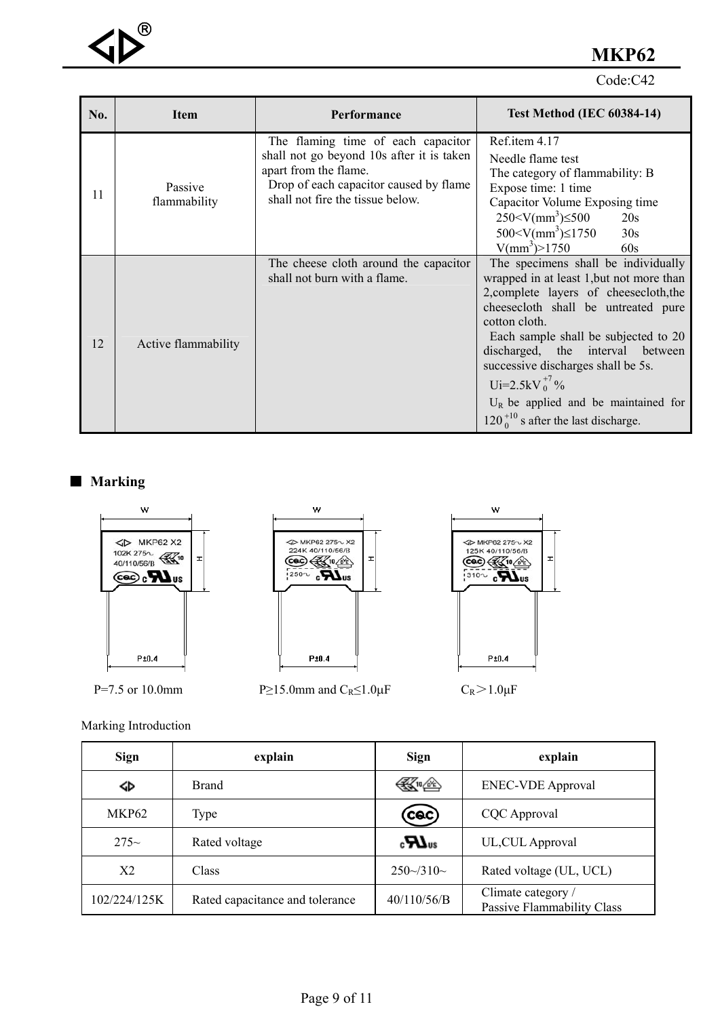

Code:C42

| No. | <b>Item</b>             | Performance                                                                                                                                                                            | <b>Test Method (IEC 60384-14)</b>                                                                                                                                                                                                                                                                                                                                                                                  |
|-----|-------------------------|----------------------------------------------------------------------------------------------------------------------------------------------------------------------------------------|--------------------------------------------------------------------------------------------------------------------------------------------------------------------------------------------------------------------------------------------------------------------------------------------------------------------------------------------------------------------------------------------------------------------|
| 11  | Passive<br>flammability | The flaming time of each capacitor<br>shall not go beyond 10s after it is taken<br>apart from the flame.<br>Drop of each capacitor caused by flame<br>shall not fire the tissue below. | Ref.item 4.17<br>Needle flame test<br>The category of flammability: B<br>Expose time: 1 time<br>Capacitor Volume Exposing time<br>$250 \le V/mm^3 \le 500$<br>20s<br>$500 < V/mm^3$ ) $\leq$ 1750<br>30s<br>$V/mm^3$ > 1750<br>60s                                                                                                                                                                                 |
| 12  | Active flammability     | The cheese cloth around the capacitor<br>shall not burn with a flame.                                                                                                                  | The specimens shall be individually<br>wrapped in at least 1, but not more than<br>2, complete layers of cheesecloth, the<br>cheesecloth shall be untreated pure<br>cotton cloth.<br>Each sample shall be subjected to 20<br>discharged, the interval between<br>successive discharges shall be 5s.<br>Ui=2.5kV $_0^{+7}$ %<br>$U_R$ be applied and be maintained for<br>$120_0^{+10}$ s after the last discharge. |

■ Marking



Marking Introduction

| <b>Sign</b>  | explain                         | <b>Sign</b>          | explain                                          |
|--------------|---------------------------------|----------------------|--------------------------------------------------|
| ↭            | <b>Brand</b>                    | ≪™                   | <b>ENEC-VDE Approval</b>                         |
| MKP62        | Type                            | (cac)                | CQC Approval                                     |
| $275-$       | Rated voltage                   | $_{\rm c}H_{\rm us}$ | UL, CUL Approval                                 |
| X2           | Class                           | $250\frac{310}{6}$   | Rated voltage (UL, UCL)                          |
| 102/224/125K | Rated capacitance and tolerance | 40/110/56/B          | Climate category /<br>Passive Flammability Class |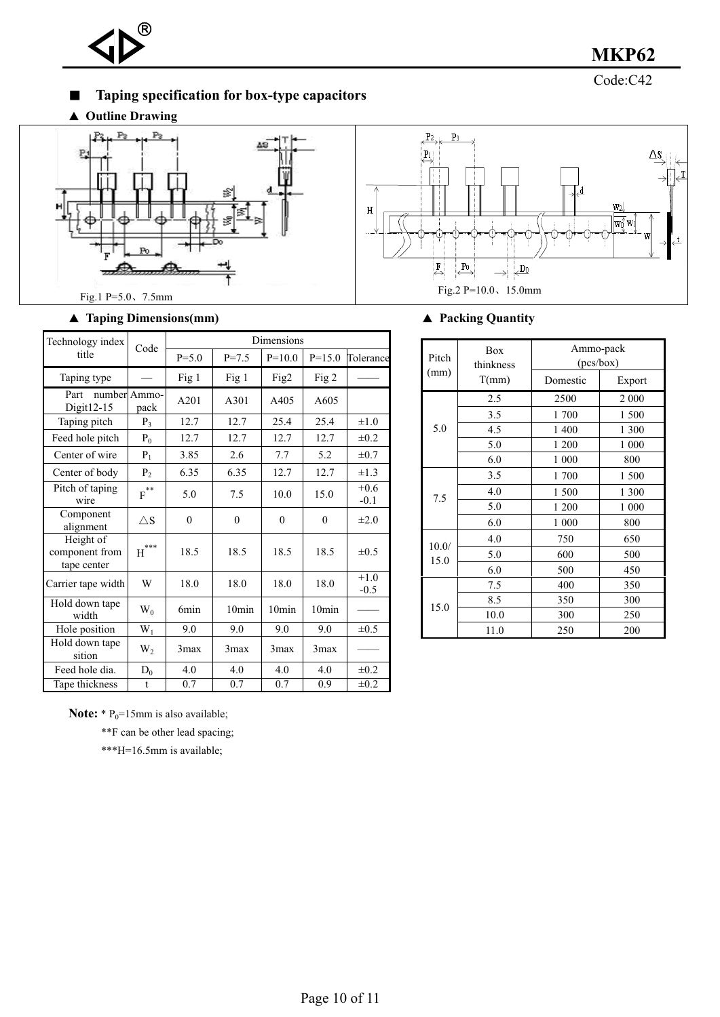

■ **Taping specification for box-type capacitors** 

▲ **Outline Drawing**





#### ▲ **Taping Dimensions(mm)** ▲ **Packing Quantity**

| Technology index                           | Code                         | Dimensions   |                   |                   |                   |                  |
|--------------------------------------------|------------------------------|--------------|-------------------|-------------------|-------------------|------------------|
| title                                      |                              | $P = 5.0$    | $P = 7.5$         | $P=10.0$          | $P=15.0$          | Tolerance        |
| Taping type                                |                              | Fig 1        | Fig 1             | Fig2              | Fig 2             |                  |
| Part<br>Digit12-15                         | number Ammo-<br>pack         | A201         | A301              | A405              | A605              |                  |
| Taping pitch                               | $P_3$                        | 12.7         | 12.7              | 25.4              | 25.4              | $\pm 1.0$        |
| Feed hole pitch                            | $P_0$                        | 12.7         | 12.7              | 12.7              | 12.7              | $\pm 0.2$        |
| Center of wire                             | $P_1$                        | 3.85         | 2.6               | 7.7               | 5.2               | $\pm 0.7$        |
| Center of body                             | P <sub>2</sub>               | 6.35         | 6.35              | 12.7              | 12.7              | $\pm 1.3$        |
| Pitch of taping<br>wire                    | $\overline{\mathrm{F}}^{**}$ | 5.0          | 7.5               | 10.0              | 15.0              | $+0.6$<br>$-0.1$ |
| Component<br>alignment                     | $\triangle$ S                | $\mathbf{0}$ | $\overline{0}$    | $\theta$          | $\theta$          | $\pm 2.0$        |
| Height of<br>component from<br>tape center | $\operatorname{H}^{***}$     | 18.5         | 18.5              | 18.5              | 18.5              | $\pm 0.5$        |
| Carrier tape width                         | W                            | 18.0         | 18.0              | 18.0              | 18.0              | $+1.0$<br>$-0.5$ |
| Hold down tape<br>width                    | $W_0$                        | 6min         | 10 <sub>min</sub> | 10 <sub>min</sub> | 10 <sub>min</sub> |                  |
| Hole position                              | $W_1$                        | 9.0          | 9.0               | 9.0               | 9.0               | $\pm 0.5$        |
| Hold down tape<br>sition                   | $W_2$                        | 3max         | 3max              | 3max              | 3max              |                  |
| Feed hole dia.                             | $D_0$                        | 4.0          | 4.0               | 4.0               | 4.0               | $\pm 0.2$        |
| Tape thickness                             | t                            | 0.7          | 0.7               | 0.7               | 0.9               | $\pm 0.2$        |

| Pitch | Box<br>thinkness | Ammo-pack<br>(pcs/box) |         |  |
|-------|------------------|------------------------|---------|--|
| (mm)  | T(mm)            | Domestic               | Export  |  |
|       | 2.5              | 2500                   | 2 0 0 0 |  |
|       | 3.5              | 1700                   | 1 500   |  |
| 5.0   | 4.5              | 1 400                  | 1 300   |  |
|       | 5.0              | 1 200                  | 1 000   |  |
|       | 6.0              | 1 000                  | 800     |  |
|       | 3.5              | 1700                   | 1 500   |  |
| 7.5   | 4.0              | 1500                   | 1 300   |  |
|       | 5.0              | 1 200                  | 1 000   |  |
|       | 6.0              | 1 000                  | 800     |  |
| 10.0/ | 4.0              | 750                    | 650     |  |
| 15.0  | 5.0              | 600                    | 500     |  |
|       | 6.0              | 500                    | 450     |  |
|       | 7.5              | 400                    | 350     |  |
|       | 8.5              | 350                    | 300     |  |
| 15.0  | 10.0             | 300                    | 250     |  |
|       | 11.0             | 250                    | 200     |  |

**Note:**  $* \, P_0 = 15$ mm is also available;

\*\*F can be other lead spacing;

\*\*\*H=16.5mm is available;

Code:C42 **MKP62**